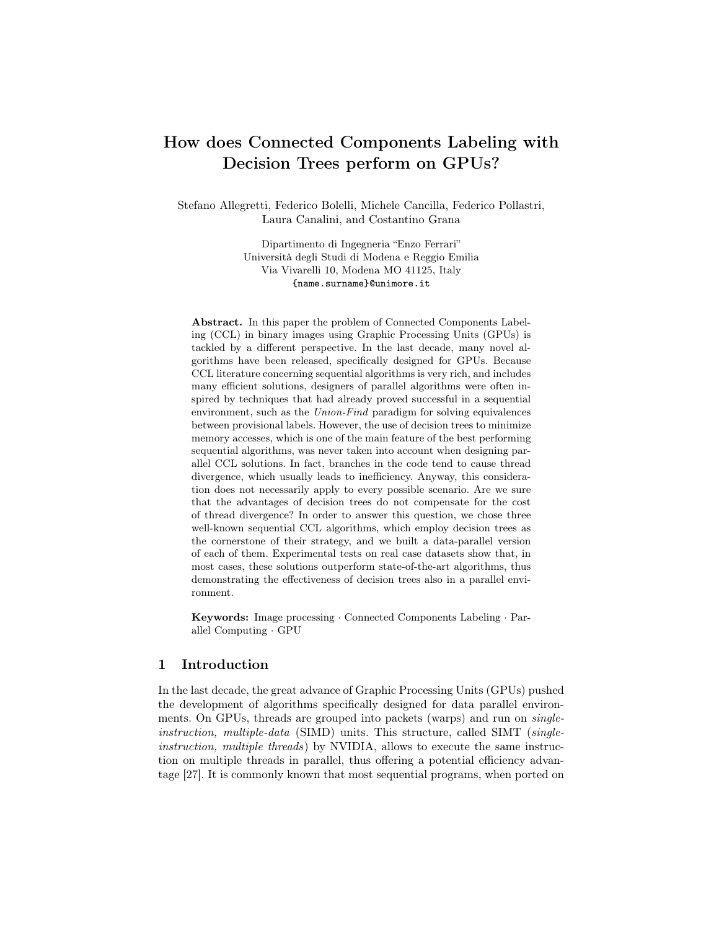# How does Connected Components Labeling with Decision Trees perform on GPUs?

Stefano Allegretti, Federico Bolelli, Michele Cancilla, Federico Pollastri, Laura Canalini, and Costantino Grana

> Dipartimento di Ingegneria "Enzo Ferrari" Università degli Studi di Modena e Reggio Emilia Via Vivarelli 10, Modena MO 41125, Italy {name.surname}@unimore.it

Abstract. In this paper the problem of Connected Components Labeling (CCL) in binary images using Graphic Processing Units (GPUs) is tackled by a different perspective. In the last decade, many novel algorithms have been released, specifically designed for GPUs. Because CCL literature concerning sequential algorithms is very rich, and includes many efficient solutions, designers of parallel algorithms were often inspired by techniques that had already proved successful in a sequential environment, such as the Union-Find paradigm for solving equivalences between provisional labels. However, the use of decision trees to minimize memory accesses, which is one of the main feature of the best performing sequential algorithms, was never taken into account when designing parallel CCL solutions. In fact, branches in the code tend to cause thread divergence, which usually leads to inefficiency. Anyway, this consideration does not necessarily apply to every possible scenario. Are we sure that the advantages of decision trees do not compensate for the cost of thread divergence? In order to answer this question, we chose three well-known sequential CCL algorithms, which employ decision trees as the cornerstone of their strategy, and we built a data-parallel version of each of them. Experimental tests on real case datasets show that, in most cases, these solutions outperform state-of-the-art algorithms, thus demonstrating the effectiveness of decision trees also in a parallel environment.

Keywords: Image processing · Connected Components Labeling · Parallel Computing · GPU

# 1 Introduction

In the last decade, the great advance of Graphic Processing Units (GPUs) pushed the development of algorithms specifically designed for data parallel environments. On GPUs, threads are grouped into packets (warps) and run on singleinstruction, multiple-data (SIMD) units. This structure, called SIMT (singleinstruction, multiple threads) by NVIDIA, allows to execute the same instruction on multiple threads in parallel, thus offering a potential efficiency advantage [27]. It is commonly known that most sequential programs, when ported on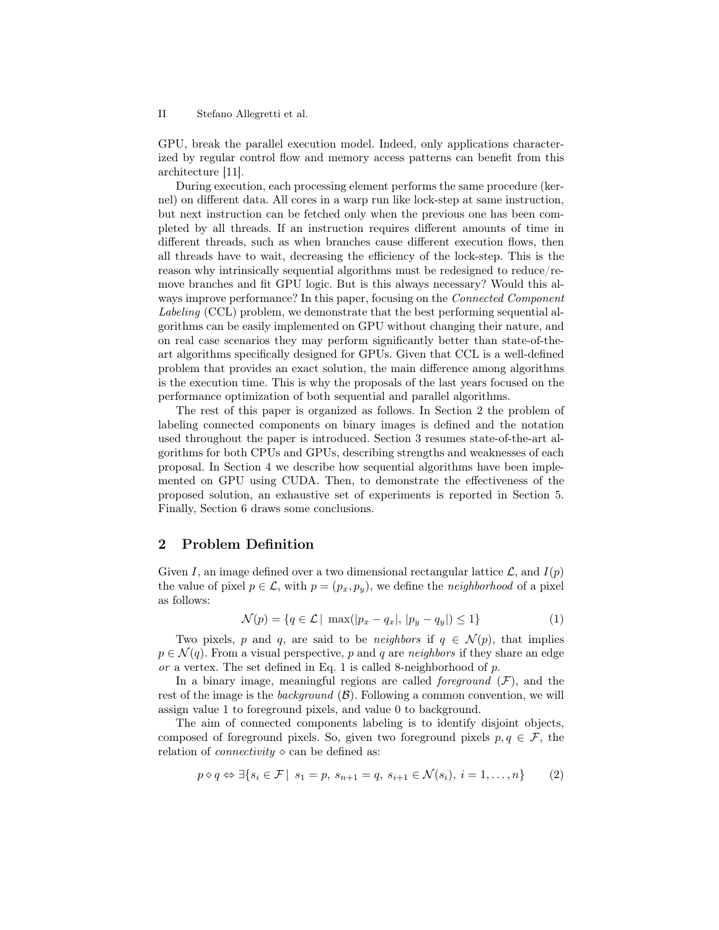II Stefano Allegretti et al.

GPU, break the parallel execution model. Indeed, only applications characterized by regular control flow and memory access patterns can benefit from this architecture [11].

During execution, each processing element performs the same procedure (kernel) on different data. All cores in a warp run like lock-step at same instruction, but next instruction can be fetched only when the previous one has been completed by all threads. If an instruction requires different amounts of time in different threads, such as when branches cause different execution flows, then all threads have to wait, decreasing the efficiency of the lock-step. This is the reason why intrinsically sequential algorithms must be redesigned to reduce/remove branches and fit GPU logic. But is this always necessary? Would this always improve performance? In this paper, focusing on the Connected Component Labeling (CCL) problem, we demonstrate that the best performing sequential algorithms can be easily implemented on GPU without changing their nature, and on real case scenarios they may perform significantly better than state-of-theart algorithms specifically designed for GPUs. Given that CCL is a well-defined problem that provides an exact solution, the main difference among algorithms is the execution time. This is why the proposals of the last years focused on the performance optimization of both sequential and parallel algorithms.

The rest of this paper is organized as follows. In Section 2 the problem of labeling connected components on binary images is defined and the notation used throughout the paper is introduced. Section 3 resumes state-of-the-art algorithms for both CPUs and GPUs, describing strengths and weaknesses of each proposal. In Section 4 we describe how sequential algorithms have been implemented on GPU using CUDA. Then, to demonstrate the effectiveness of the proposed solution, an exhaustive set of experiments is reported in Section 5. Finally, Section 6 draws some conclusions.

## 2 Problem Definition

Given I, an image defined over a two dimensional rectangular lattice  $\mathcal{L}$ , and  $I(p)$ the value of pixel  $p \in \mathcal{L}$ , with  $p = (p_x, p_y)$ , we define the *neighborhood* of a pixel as follows:

$$
\mathcal{N}(p) = \{ q \in \mathcal{L} \mid \max(|p_x - q_x|, |p_y - q_y|) \le 1 \}
$$
 (1)

Two pixels, p and q, are said to be neighbors if  $q \in \mathcal{N}(p)$ , that implies  $p \in \mathcal{N}(q)$ . From a visual perspective, p and q are neighbors if they share an edge or a vertex. The set defined in Eq. 1 is called 8-neighborhood of  $p$ .

In a binary image, meaningful regions are called *foreground*  $(F)$ , and the rest of the image is the *background*  $(\mathcal{B})$ . Following a common convention, we will assign value 1 to foreground pixels, and value 0 to background.

The aim of connected components labeling is to identify disjoint objects, composed of foreground pixels. So, given two foreground pixels  $p, q \in \mathcal{F}$ , the relation of *connectivity*  $\diamond$  can be defined as:

$$
p \diamond q \Leftrightarrow \exists \{s_i \in \mathcal{F} \mid s_1 = p, s_{n+1} = q, s_{i+1} \in \mathcal{N}(s_i), i = 1, \dots, n\}
$$
 (2)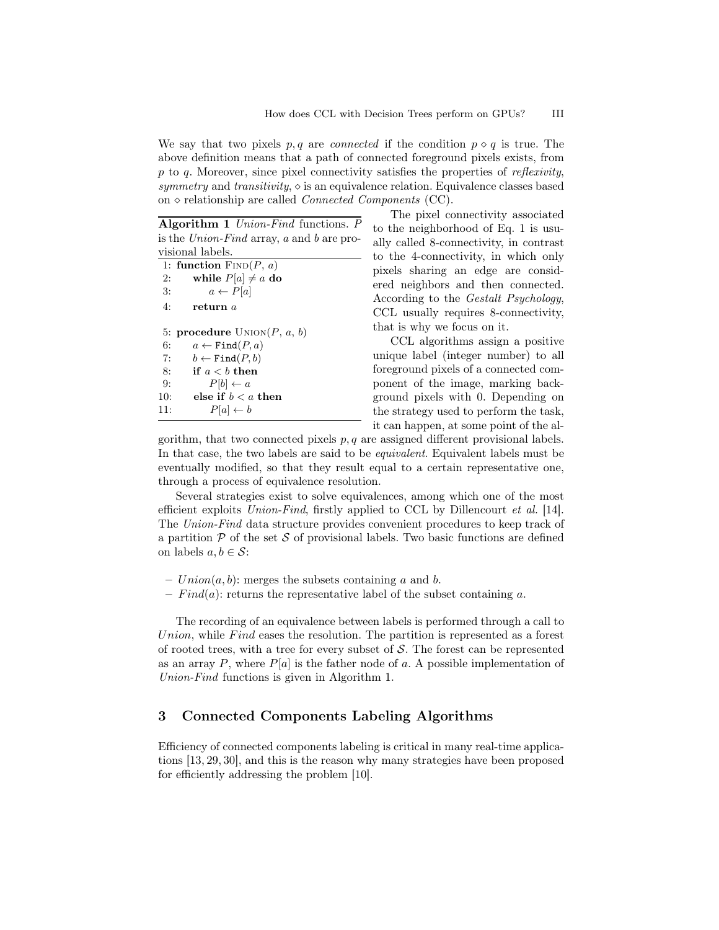We say that two pixels p, q are connected if the condition  $p \diamond q$  is true. The above definition means that a path of connected foreground pixels exists, from  $p$  to  $q$ . Moreover, since pixel connectivity satisfies the properties of reflexivity, symmetry and transitivity,  $\Diamond$  is an equivalence relation. Equivalence classes based on  $\diamond$  relationship are called *Connected Components* (CC).

Algorithm 1 Union-Find functions. P is the Union-Find array, a and b are provisional labels.

1: function  $\text{FIND}(P, a)$ 2: while  $P[a] \neq a$  do 3:  $a \leftarrow P[a]$ 4: return a 5: procedure  $\text{UNION}(P, a, b)$ 6:  $a \leftarrow \text{Find}(P, a)$ 7:  $b \leftarrow \text{Find}(P, b)$ 8: if  $a < b$  then 9:  $P[b] \leftarrow a$ 10: else if  $b < a$  then 11:  $P[a] \leftarrow b$ 

The pixel connectivity associated to the neighborhood of Eq. 1 is usually called 8-connectivity, in contrast to the 4-connectivity, in which only pixels sharing an edge are considered neighbors and then connected. According to the Gestalt Psychology, CCL usually requires 8-connectivity, that is why we focus on it.

CCL algorithms assign a positive unique label (integer number) to all foreground pixels of a connected component of the image, marking background pixels with 0. Depending on the strategy used to perform the task, it can happen, at some point of the al-

gorithm, that two connected pixels  $p, q$  are assigned different provisional labels. In that case, the two labels are said to be equivalent. Equivalent labels must be eventually modified, so that they result equal to a certain representative one, through a process of equivalence resolution.

Several strategies exist to solve equivalences, among which one of the most efficient exploits Union-Find, firstly applied to CCL by Dillencourt et al. [14]. The Union-Find data structure provides convenient procedures to keep track of a partition  $\mathcal P$  of the set S of provisional labels. Two basic functions are defined on labels  $a, b \in \mathcal{S}$ :

- $Union(a, b)$ : merges the subsets containing a and b.
- $Find(a)$ : returns the representative label of the subset containing a.

The recording of an equivalence between labels is performed through a call to Union, while  $Find$  eases the resolution. The partition is represented as a forest of rooted trees, with a tree for every subset of  $S$ . The forest can be represented as an array P, where  $P[a]$  is the father node of a. A possible implementation of Union-Find functions is given in Algorithm 1.

# 3 Connected Components Labeling Algorithms

Efficiency of connected components labeling is critical in many real-time applications [13, 29, 30], and this is the reason why many strategies have been proposed for efficiently addressing the problem [10].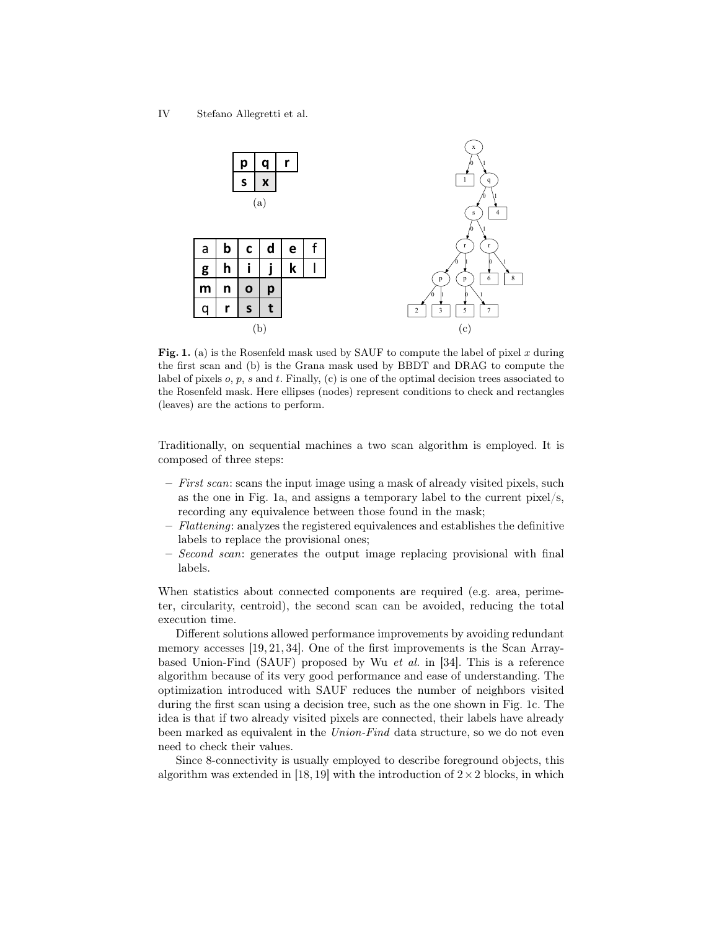

Fig. 1. (a) is the Rosenfeld mask used by SAUF to compute the label of pixel x during the first scan and (b) is the Grana mask used by BBDT and DRAG to compute the label of pixels  $o, p, s$  and t. Finally, (c) is one of the optimal decision trees associated to the Rosenfeld mask. Here ellipses (nodes) represent conditions to check and rectangles (leaves) are the actions to perform.

Traditionally, on sequential machines a two scan algorithm is employed. It is composed of three steps:

- $-$  First scan: scans the input image using a mask of already visited pixels, such as the one in Fig. 1a, and assigns a temporary label to the current pixel/s, recording any equivalence between those found in the mask;
- $-$  Flattening: analyzes the registered equivalences and establishes the definitive labels to replace the provisional ones;
- Second scan: generates the output image replacing provisional with final labels.

When statistics about connected components are required (e.g. area, perimeter, circularity, centroid), the second scan can be avoided, reducing the total execution time.

Different solutions allowed performance improvements by avoiding redundant memory accesses [19, 21, 34]. One of the first improvements is the Scan Arraybased Union-Find (SAUF) proposed by Wu et al. in [34]. This is a reference algorithm because of its very good performance and ease of understanding. The optimization introduced with SAUF reduces the number of neighbors visited during the first scan using a decision tree, such as the one shown in Fig. 1c. The idea is that if two already visited pixels are connected, their labels have already been marked as equivalent in the Union-Find data structure, so we do not even need to check their values.

Since 8-connectivity is usually employed to describe foreground objects, this algorithm was extended in [18, 19] with the introduction of  $2 \times 2$  blocks, in which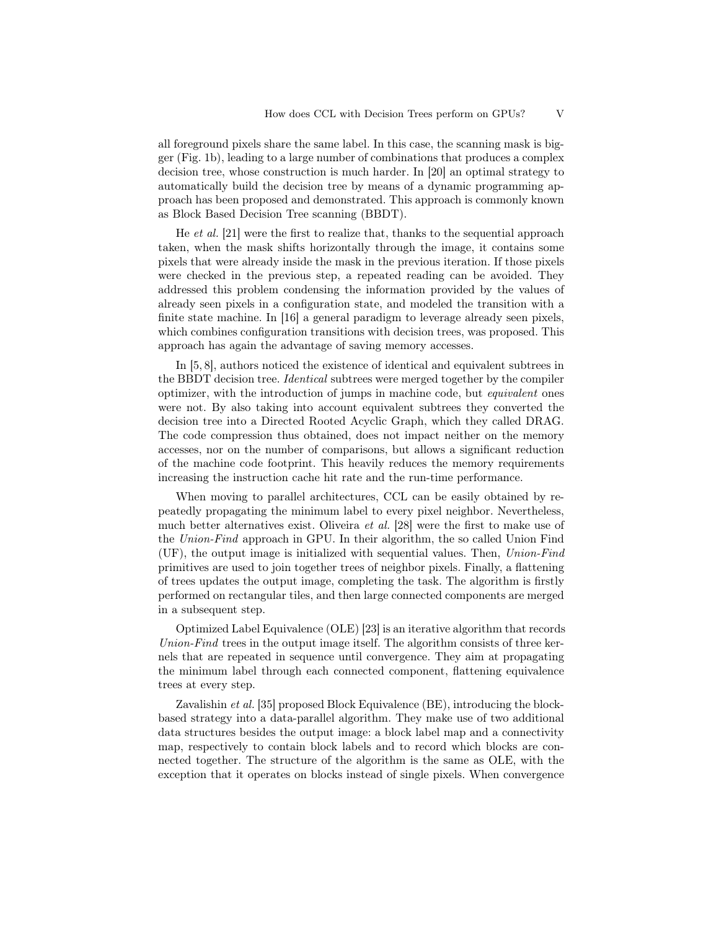all foreground pixels share the same label. In this case, the scanning mask is bigger (Fig. 1b), leading to a large number of combinations that produces a complex decision tree, whose construction is much harder. In [20] an optimal strategy to automatically build the decision tree by means of a dynamic programming approach has been proposed and demonstrated. This approach is commonly known as Block Based Decision Tree scanning (BBDT).

He et al. [21] were the first to realize that, thanks to the sequential approach taken, when the mask shifts horizontally through the image, it contains some pixels that were already inside the mask in the previous iteration. If those pixels were checked in the previous step, a repeated reading can be avoided. They addressed this problem condensing the information provided by the values of already seen pixels in a configuration state, and modeled the transition with a finite state machine. In [16] a general paradigm to leverage already seen pixels, which combines configuration transitions with decision trees, was proposed. This approach has again the advantage of saving memory accesses.

In [5, 8], authors noticed the existence of identical and equivalent subtrees in the BBDT decision tree. Identical subtrees were merged together by the compiler optimizer, with the introduction of jumps in machine code, but equivalent ones were not. By also taking into account equivalent subtrees they converted the decision tree into a Directed Rooted Acyclic Graph, which they called DRAG. The code compression thus obtained, does not impact neither on the memory accesses, nor on the number of comparisons, but allows a significant reduction of the machine code footprint. This heavily reduces the memory requirements increasing the instruction cache hit rate and the run-time performance.

When moving to parallel architectures, CCL can be easily obtained by repeatedly propagating the minimum label to every pixel neighbor. Nevertheless, much better alternatives exist. Oliveira et al. [28] were the first to make use of the Union-Find approach in GPU. In their algorithm, the so called Union Find (UF), the output image is initialized with sequential values. Then, Union-Find primitives are used to join together trees of neighbor pixels. Finally, a flattening of trees updates the output image, completing the task. The algorithm is firstly performed on rectangular tiles, and then large connected components are merged in a subsequent step.

Optimized Label Equivalence (OLE) [23] is an iterative algorithm that records Union-Find trees in the output image itself. The algorithm consists of three kernels that are repeated in sequence until convergence. They aim at propagating the minimum label through each connected component, flattening equivalence trees at every step.

Zavalishin et al. [35] proposed Block Equivalence (BE), introducing the blockbased strategy into a data-parallel algorithm. They make use of two additional data structures besides the output image: a block label map and a connectivity map, respectively to contain block labels and to record which blocks are connected together. The structure of the algorithm is the same as OLE, with the exception that it operates on blocks instead of single pixels. When convergence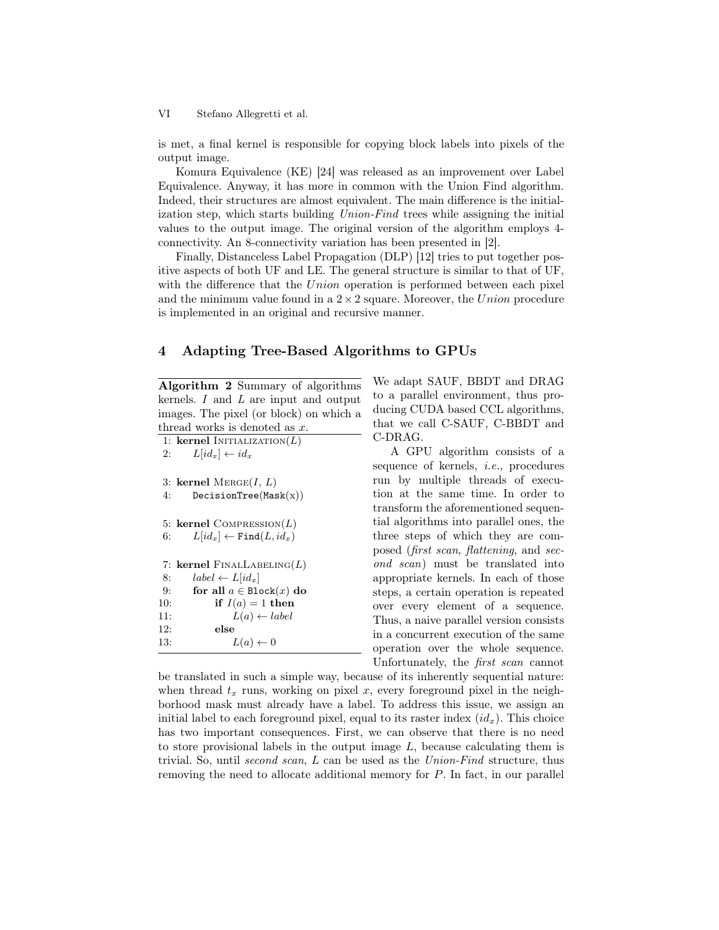VI Stefano Allegretti et al.

is met, a final kernel is responsible for copying block labels into pixels of the output image.

Komura Equivalence (KE) [24] was released as an improvement over Label Equivalence. Anyway, it has more in common with the Union Find algorithm. Indeed, their structures are almost equivalent. The main difference is the initialization step, which starts building Union-Find trees while assigning the initial values to the output image. The original version of the algorithm employs 4 connectivity. An 8-connectivity variation has been presented in [2].

Finally, Distanceless Label Propagation (DLP) [12] tries to put together positive aspects of both UF and LE. The general structure is similar to that of UF, with the difference that the Union operation is performed between each pixel and the minimum value found in a  $2 \times 2$  square. Moreover, the Union procedure is implemented in an original and recursive manner.

# 4 Adapting Tree-Based Algorithms to GPUs

Algorithm 2 Summary of algorithms kernels.  $I$  and  $L$  are input and output images. The pixel (or block) on which a thread works is denoted as  $x$ .

1: kernel INITIALIZATION $(L)$ 2:  $L[i d_x] \leftarrow id_x$ 3: kernel MERGE $(I, L)$ 4: DecisionTree( $Mask(x)$ ) 5: kernel  $COMPRESSION(L)$ 6:  $L lid_x$   $\leftarrow$  Find $(L, id_x)$ 7: kernel  $\text{FinALLABELING}(L)$ 8:  $label \leftarrow L lid_x$ 9: for all  $a \in \text{Block}(x)$  do 10: if  $I(a) = 1$  then 11:  $L(a) \leftarrow label$ 12: else 13:  $L(a) \leftarrow 0$ 

We adapt SAUF, BBDT and DRAG to a parallel environment, thus producing CUDA based CCL algorithms, that we call C-SAUF, C-BBDT and C-DRAG.

A GPU algorithm consists of a sequence of kernels, i.e., procedures run by multiple threads of execution at the same time. In order to transform the aforementioned sequential algorithms into parallel ones, the three steps of which they are composed (first scan, flattening, and second scan) must be translated into appropriate kernels. In each of those steps, a certain operation is repeated over every element of a sequence. Thus, a naive parallel version consists in a concurrent execution of the same operation over the whole sequence. Unfortunately, the first scan cannot

be translated in such a simple way, because of its inherently sequential nature: when thread  $t_x$  runs, working on pixel x, every foreground pixel in the neighborhood mask must already have a label. To address this issue, we assign an initial label to each foreground pixel, equal to its raster index  $(id<sub>r</sub>)$ . This choice has two important consequences. First, we can observe that there is no need to store provisional labels in the output image  $L$ , because calculating them is trivial. So, until second scan, L can be used as the Union-Find structure, thus removing the need to allocate additional memory for P. In fact, in our parallel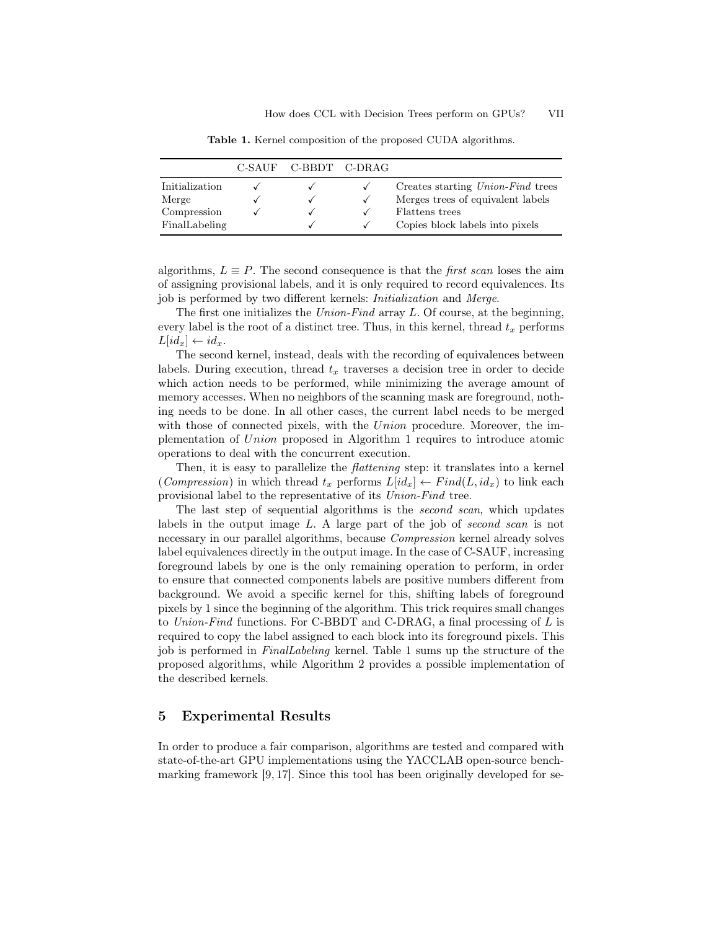|                | C-SAUF C-BBDT C-DRAG |                                   |
|----------------|----------------------|-----------------------------------|
| Initialization |                      | Creates starting Union-Find trees |
| Merge          |                      | Merges trees of equivalent labels |
| Compression    |                      | Flattens trees                    |
| FinalLabeling  |                      | Copies block labels into pixels   |

Table 1. Kernel composition of the proposed CUDA algorithms.

algorithms,  $L \equiv P$ . The second consequence is that the *first scan* loses the aim of assigning provisional labels, and it is only required to record equivalences. Its job is performed by two different kernels: Initialization and Merge.

The first one initializes the Union-Find array L. Of course, at the beginning, every label is the root of a distinct tree. Thus, in this kernel, thread  $t_x$  performs  $L(id_x] \leftarrow id_x.$ 

The second kernel, instead, deals with the recording of equivalences between labels. During execution, thread  $t_x$  traverses a decision tree in order to decide which action needs to be performed, while minimizing the average amount of memory accesses. When no neighbors of the scanning mask are foreground, nothing needs to be done. In all other cases, the current label needs to be merged with those of connected pixels, with the Union procedure. Moreover, the implementation of Union proposed in Algorithm 1 requires to introduce atomic operations to deal with the concurrent execution.

Then, it is easy to parallelize the *flattening* step: it translates into a kernel (Compression) in which thread  $t_x$  performs  $L(id_x) \leftarrow Find(L, id_x)$  to link each provisional label to the representative of its Union-Find tree.

The last step of sequential algorithms is the second scan, which updates labels in the output image L. A large part of the job of second scan is not necessary in our parallel algorithms, because Compression kernel already solves label equivalences directly in the output image. In the case of C-SAUF, increasing foreground labels by one is the only remaining operation to perform, in order to ensure that connected components labels are positive numbers different from background. We avoid a specific kernel for this, shifting labels of foreground pixels by 1 since the beginning of the algorithm. This trick requires small changes to Union-Find functions. For C-BBDT and C-DRAG, a final processing of  $L$  is required to copy the label assigned to each block into its foreground pixels. This job is performed in FinalLabeling kernel. Table 1 sums up the structure of the proposed algorithms, while Algorithm 2 provides a possible implementation of the described kernels.

# 5 Experimental Results

In order to produce a fair comparison, algorithms are tested and compared with state-of-the-art GPU implementations using the YACCLAB open-source benchmarking framework [9, 17]. Since this tool has been originally developed for se-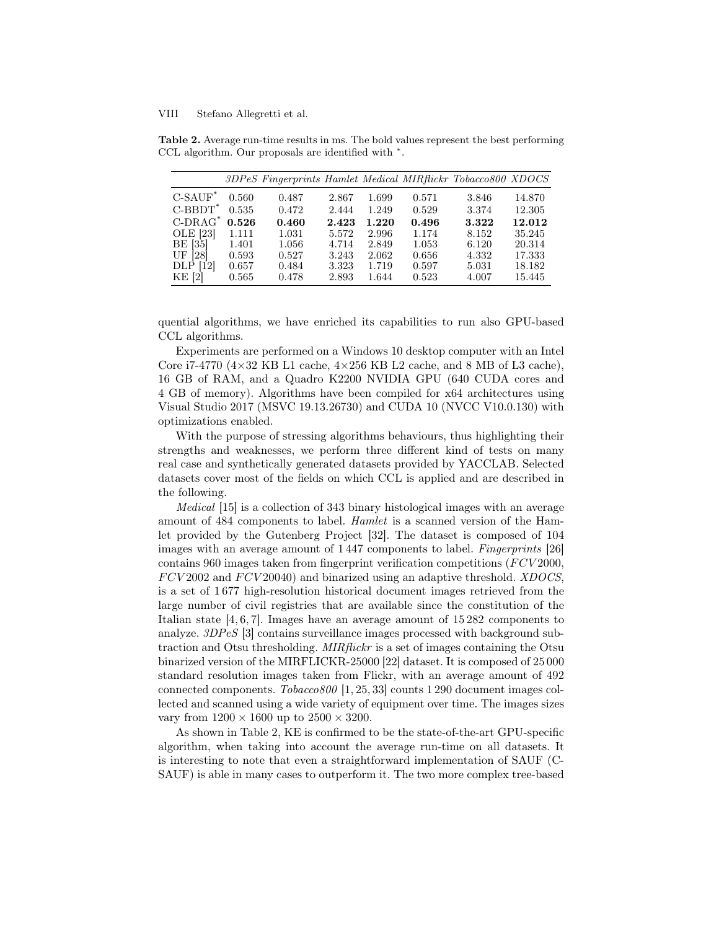#### VIII Stefano Allegretti et al.

Table 2. Average run-time results in ms. The bold values represent the best performing CCL algorithm. Our proposals are identified with  $*$ .

|                   |       | 3DPeS Fingerprints Hamlet Medical MIRflickr Tobacco800 XDOCS |       |       |       |       |        |
|-------------------|-------|--------------------------------------------------------------|-------|-------|-------|-------|--------|
| $C-SAUF^*$        | 0.560 | 0.487                                                        | 2.867 | 1.699 | 0.571 | 3.846 | 14.870 |
| $C-BBDT^*$        | 0.535 | 0.472                                                        | 2.444 | 1.249 | 0.529 | 3.374 | 12.305 |
| $C\text{-}DRAG^*$ | 0.526 | 0.460                                                        | 2.423 | 1.220 | 0.496 | 3.322 | 12.012 |
| OLE [23]          | 1.111 | 1.031                                                        | 5.572 | 2.996 | 1.174 | 8.152 | 35.245 |
| <b>BE</b> [35]    | 1.401 | 1.056                                                        | 4.714 | 2.849 | 1.053 | 6.120 | 20.314 |
| UF [28]           | 0.593 | 0.527                                                        | 3.243 | 2.062 | 0.656 | 4.332 | 17.333 |
| DLP [12]          | 0.657 | 0.484                                                        | 3.323 | 1.719 | 0.597 | 5.031 | 18.182 |
| $KE$ [2]          | 0.565 | 0.478                                                        | 2.893 | 1.644 | 0.523 | 4.007 | 15.445 |

quential algorithms, we have enriched its capabilities to run also GPU-based CCL algorithms.

Experiments are performed on a Windows 10 desktop computer with an Intel Core i7-4770  $(4\times32 \text{ KB L1 cache}, 4\times256 \text{ KB L2 cache}, \text{and } 8 \text{ MB of L3 cache}),$ 16 GB of RAM, and a Quadro K2200 NVIDIA GPU (640 CUDA cores and 4 GB of memory). Algorithms have been compiled for x64 architectures using Visual Studio 2017 (MSVC 19.13.26730) and CUDA 10 (NVCC V10.0.130) with optimizations enabled.

With the purpose of stressing algorithms behaviours, thus highlighting their strengths and weaknesses, we perform three different kind of tests on many real case and synthetically generated datasets provided by YACCLAB. Selected datasets cover most of the fields on which CCL is applied and are described in the following.

Medical [15] is a collection of 343 binary histological images with an average amount of 484 components to label. Hamlet is a scanned version of the Hamlet provided by the Gutenberg Project [32]. The dataset is composed of 104 images with an average amount of 1 447 components to label. Fingerprints [26] contains 960 images taken from fingerprint verification competitions ( $FCV2000$ ,  $FCV2002$  and  $FCV20040$ ) and binarized using an adaptive threshold. XDOCS, is a set of 1 677 high-resolution historical document images retrieved from the large number of civil registries that are available since the constitution of the Italian state [4, 6, 7]. Images have an average amount of 15 282 components to analyze. 3DPeS [3] contains surveillance images processed with background subtraction and Otsu thresholding. MIRflickr is a set of images containing the Otsu binarized version of the MIRFLICKR-25000 [22] dataset. It is composed of 25 000 standard resolution images taken from Flickr, with an average amount of 492 connected components. Tobacco800 [1, 25, 33] counts 1 290 document images collected and scanned using a wide variety of equipment over time. The images sizes vary from  $1200 \times 1600$  up to  $2500 \times 3200$ .

As shown in Table 2, KE is confirmed to be the state-of-the-art GPU-specific algorithm, when taking into account the average run-time on all datasets. It is interesting to note that even a straightforward implementation of SAUF (C-SAUF) is able in many cases to outperform it. The two more complex tree-based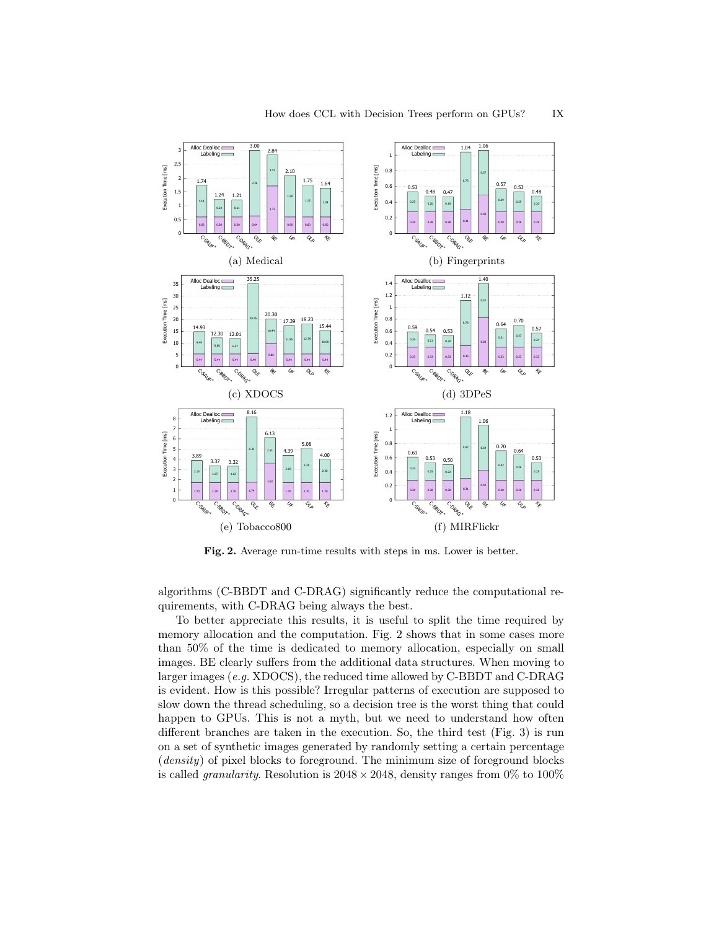

Fig. 2. Average run-time results with steps in ms. Lower is better.

algorithms (C-BBDT and C-DRAG) significantly reduce the computational requirements, with C-DRAG being always the best.

To better appreciate this results, it is useful to split the time required by memory allocation and the computation. Fig. 2 shows that in some cases more than 50% of the time is dedicated to memory allocation, especially on small images. BE clearly suffers from the additional data structures. When moving to larger images (e.g. XDOCS), the reduced time allowed by C-BBDT and C-DRAG is evident. How is this possible? Irregular patterns of execution are supposed to slow down the thread scheduling, so a decision tree is the worst thing that could happen to GPUs. This is not a myth, but we need to understand how often different branches are taken in the execution. So, the third test (Fig. 3) is run on a set of synthetic images generated by randomly setting a certain percentage (density) of pixel blocks to foreground. The minimum size of foreground blocks is called *granularity*. Resolution is  $2048 \times 2048$ , density ranges from 0% to 100%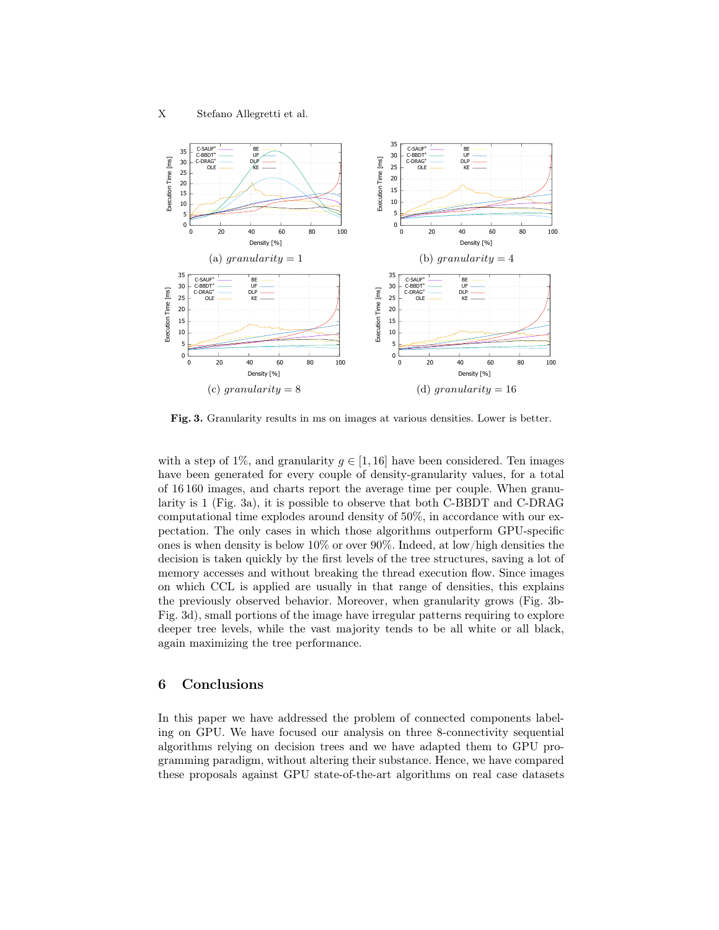

Fig. 3. Granularity results in ms on images at various densities. Lower is better.

with a step of 1%, and granularity  $g \in [1, 16]$  have been considered. Ten images have been generated for every couple of density-granularity values, for a total of 16 160 images, and charts report the average time per couple. When granularity is 1 (Fig. 3a), it is possible to observe that both C-BBDT and C-DRAG computational time explodes around density of 50%, in accordance with our expectation. The only cases in which those algorithms outperform GPU-specific ones is when density is below 10% or over 90%. Indeed, at low/high densities the decision is taken quickly by the first levels of the tree structures, saving a lot of memory accesses and without breaking the thread execution flow. Since images on which CCL is applied are usually in that range of densities, this explains the previously observed behavior. Moreover, when granularity grows (Fig. 3b-Fig. 3d), small portions of the image have irregular patterns requiring to explore deeper tree levels, while the vast majority tends to be all white or all black, again maximizing the tree performance.

# 6 Conclusions

In this paper we have addressed the problem of connected components labeling on GPU. We have focused our analysis on three 8-connectivity sequential algorithms relying on decision trees and we have adapted them to GPU programming paradigm, without altering their substance. Hence, we have compared these proposals against GPU state-of-the-art algorithms on real case datasets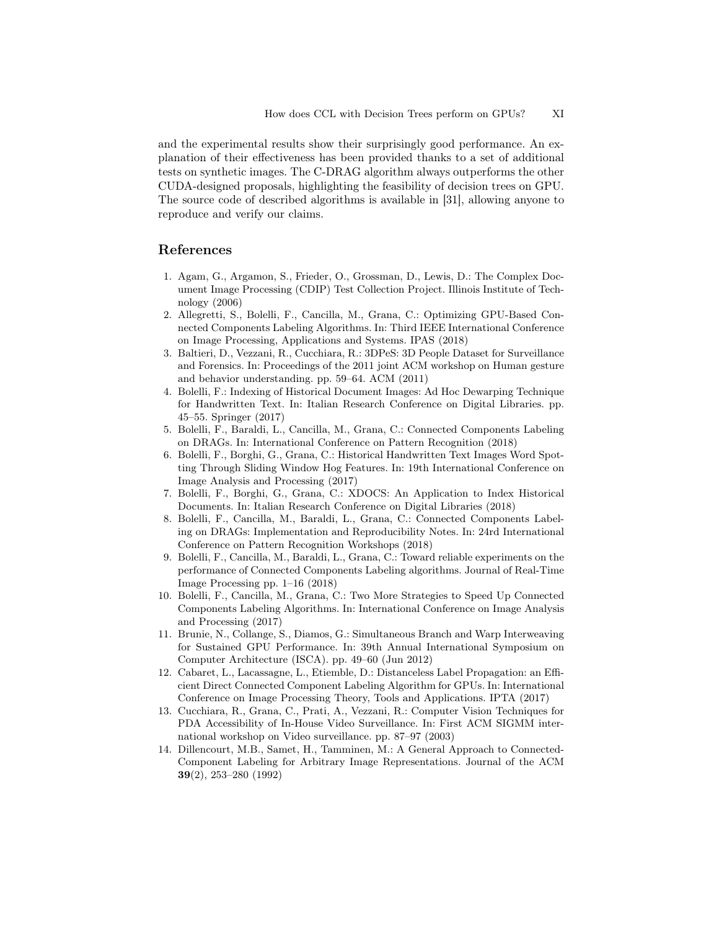and the experimental results show their surprisingly good performance. An explanation of their effectiveness has been provided thanks to a set of additional tests on synthetic images. The C-DRAG algorithm always outperforms the other CUDA-designed proposals, highlighting the feasibility of decision trees on GPU. The source code of described algorithms is available in [31], allowing anyone to reproduce and verify our claims.

## References

- 1. Agam, G., Argamon, S., Frieder, O., Grossman, D., Lewis, D.: The Complex Document Image Processing (CDIP) Test Collection Project. Illinois Institute of Technology (2006)
- 2. Allegretti, S., Bolelli, F., Cancilla, M., Grana, C.: Optimizing GPU-Based Connected Components Labeling Algorithms. In: Third IEEE International Conference on Image Processing, Applications and Systems. IPAS (2018)
- 3. Baltieri, D., Vezzani, R., Cucchiara, R.: 3DPeS: 3D People Dataset for Surveillance and Forensics. In: Proceedings of the 2011 joint ACM workshop on Human gesture and behavior understanding. pp. 59–64. ACM (2011)
- 4. Bolelli, F.: Indexing of Historical Document Images: Ad Hoc Dewarping Technique for Handwritten Text. In: Italian Research Conference on Digital Libraries. pp. 45–55. Springer (2017)
- 5. Bolelli, F., Baraldi, L., Cancilla, M., Grana, C.: Connected Components Labeling on DRAGs. In: International Conference on Pattern Recognition (2018)
- 6. Bolelli, F., Borghi, G., Grana, C.: Historical Handwritten Text Images Word Spotting Through Sliding Window Hog Features. In: 19th International Conference on Image Analysis and Processing (2017)
- 7. Bolelli, F., Borghi, G., Grana, C.: XDOCS: An Application to Index Historical Documents. In: Italian Research Conference on Digital Libraries (2018)
- 8. Bolelli, F., Cancilla, M., Baraldi, L., Grana, C.: Connected Components Labeling on DRAGs: Implementation and Reproducibility Notes. In: 24rd International Conference on Pattern Recognition Workshops (2018)
- 9. Bolelli, F., Cancilla, M., Baraldi, L., Grana, C.: Toward reliable experiments on the performance of Connected Components Labeling algorithms. Journal of Real-Time Image Processing pp. 1–16 (2018)
- 10. Bolelli, F., Cancilla, M., Grana, C.: Two More Strategies to Speed Up Connected Components Labeling Algorithms. In: International Conference on Image Analysis and Processing (2017)
- 11. Brunie, N., Collange, S., Diamos, G.: Simultaneous Branch and Warp Interweaving for Sustained GPU Performance. In: 39th Annual International Symposium on Computer Architecture (ISCA). pp. 49–60 (Jun 2012)
- 12. Cabaret, L., Lacassagne, L., Etiemble, D.: Distanceless Label Propagation: an Efficient Direct Connected Component Labeling Algorithm for GPUs. In: International Conference on Image Processing Theory, Tools and Applications. IPTA (2017)
- 13. Cucchiara, R., Grana, C., Prati, A., Vezzani, R.: Computer Vision Techniques for PDA Accessibility of In-House Video Surveillance. In: First ACM SIGMM international workshop on Video surveillance. pp. 87–97 (2003)
- 14. Dillencourt, M.B., Samet, H., Tamminen, M.: A General Approach to Connected-Component Labeling for Arbitrary Image Representations. Journal of the ACM 39(2), 253–280 (1992)